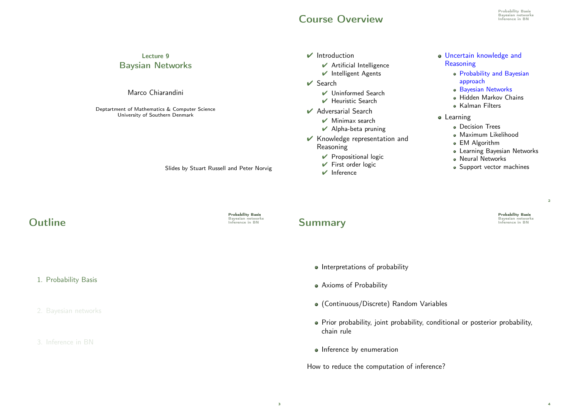#### Course Overview **Inference in BN**

 $\vee$  Minimax search  $\vee$  Alpha-beta pruning ✔ Knowledge representation and

> $\vee$  Propositional logic  $\vee$  First order logic  $\vee$  Inference

Reasoning

#### Lecture 9 Baysian Networks Marco Chiarandini  $\vee$  Introduction  $\vee$  Artificial Intelligence ✔ Intelligent Agents  $\vee$  Search ✔ Uninformed Search  $\vee$  Heuristic Search ■ Adversarial Search Uncertain knowledge and **Reasoning** Probability and Bayesian approach **Bayesian Networks** Hidden Markov Chains Kalman Filters

- **•** Learning
	- **·** Decision Trees
	- Maximum Likelihood
	- EM Algorithm
	- Learning Bayesian Networks
	- **Neural Networks**
	- Support vector machines

**Probability Basis**<br>Bayesian networks<br>Inference in BN

 $\overline{2}$ 

4

Deptartment of Mathematics & Computer Science University of Southern Denmark

Slides by Stuart Russell and Peter Norvig

**Probability Basis**<br>Bayesian networks<br>Inference in BN

#### **Summary**

- Interpretations of probability
- Axioms of Probability
- (Continuous/Discrete) Random Variables
- Prior probability, joint probability, conditional or posterior probability, chain rule
- Inference by enumeration

How to reduce the computation of inference?

# **Outline**

1. Probability Basis

2. Bayesian networks

#### 3. Inference in BN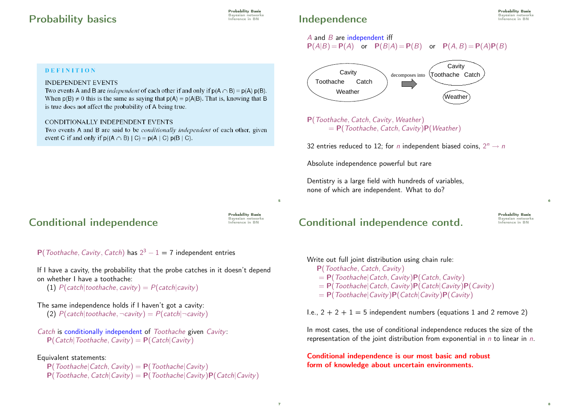#### **Probability basics Experimental BN** Bayesian networks **Probability**

**DEFINITION** 

**INDEPENDENT EVENTS** 

is true does not affect the probability of A being true.

event C if and only if  $p((A \cap B) | C) = p(A | C) p(B | C)$ .

CONDITIONALLY INDEPENDENT EVENTS

**Probability Basis**<br>Bayesian networks

#### Probability Basis Bayesian networks

 $A$  and  $B$  are independent iff  $P(A|B) = P(A)$  or  $P(B|A) = P(B)$  or  $P(A, B) = P(A)P(B)$ 



P(Toothache, Catch, Cavity, Weather)  $= P(Toothache, Catch, Cavity)P(Weather)$ 

32 entries reduced to 12; for n independent biased coins,  $2^n \rightarrow n$ 

Absolute independence powerful but rare

**Independence** 

Dentistry is a large field with hundreds of variables, none of which are independent. What to do?

#### Conditional independence

**Probability Basis**<br>Bayesian networks<br>Inference in BN

5

 $P(Toothache, Cavity, Catch)$  has  $2^3 - 1 = 7$  independent entries

If I have a cavity, the probability that the probe catches in it doesn't depend on whether I have a toothache:

Two events A and B are *independent* of each other if and only if  $p(A \cap B) = p(A) p(B)$ . When  $p(B) \neq 0$  this is the same as saying that  $p(A) = p(A|B)$ . That is, knowing that B

Two events A and B are said to be *conditionally independent* of each other, given

(1)  $P(catch | toothache, cavity) = P(catch | cavity)$ 

- The same independence holds if I haven't got a cavity:
	- (2)  $P(catch|toothache, \neg cavity) = P(catch|\neg cavity)$
- Catch is conditionally independent of Toothache given Cavity:  $P(Catch | Toothache, Cavity) = P(Catch | Cavity)$

#### Equivalent statements:

 $P(Toothache| Catch, Cavity) = P(Toothache|Cavity)$  $P(Toothache, Catch|Cavity) = P(Toothache|Cavity)P(Catch|Cavity)$ 

# Conditional independence contd.

**Probability Basis**<br>Bayesian networks<br>Inference in BN

6

8

Write out full joint distribution using chain rule: P(Toothache, Catch, Cavity)  $= P(Toothache| Catch, Cavity)P(Catch, Cavity)$ 

- $= P(Toothache| Catch, Cavity)P(Catch|Cavity)P(Cavity)$
- $= P(Toothache|Cavity)P(Catch|Cavity)P(Cavity)$
- I.e.,  $2 + 2 + 1 = 5$  independent numbers (equations 1 and 2 remove 2)

In most cases, the use of conditional independence reduces the size of the representation of the joint distribution from exponential in  $n$  to linear in  $n$ .

Conditional independence is our most basic and robust form of knowledge about uncertain environments.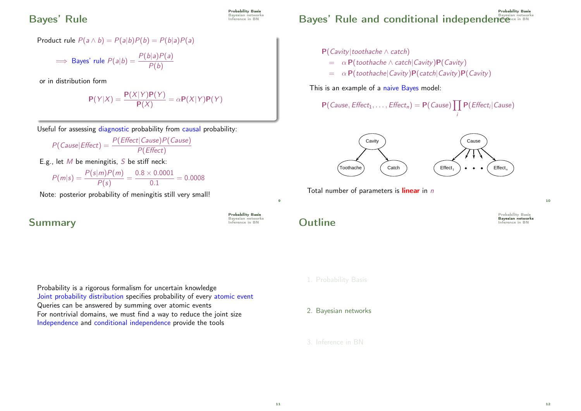#### Bayes' Rule **Inference in BN**

# **Probability Basis**<br>Bayesian networks

Product rule  $P(a \wedge b) = P(a|b)P(b) = P(b|a)P(a)$ 

$$
\implies
$$
 Bayes' rule  $P(a|b) = \frac{P(b|a)P(a)}{P(b)}$ 

or in distribution form

$$
P(Y|X) = \frac{P(X|Y)P(Y)}{P(X)} = \alpha P(X|Y)P(Y)
$$

Useful for assessing diagnostic probability from causal probability:

$$
P(Cause|Effect) = \frac{P(Effect|Cause)P(Cause)}{P(Effect)}
$$

E.g., let  $M$  be meningitis,  $S$  be stiff neck:

$$
P(m|s) = \frac{P(s|m)P(m)}{P(s)} = \frac{0.8 \times 0.0001}{0.1} = 0.0008
$$

Note: posterior probability of meningitis still very small!

# **Summary**

Probability is a rigorous formalism for uncertain knowledge Joint probability distribution specifies probability of every atomic event Queries can be answered by summing over atomic events For nontrivial domains, we must find a way to reduce the joint size Independence and conditional independence provide the tools

P**robability Basis**<br>Bayesian network Bayes' Rule and conditional independence in BN Bayesian network

- P(Cavity|toothache ∧ catch)
	- $= \alpha P(toothache \wedge catch(Cavity) P(Cavity)$
	- $= \alpha P(toothache|Cavity)P(catch|Cavity)P(Cavity)$

This is an example of a naive Bayes model:

$$
P(Cause, Effect_1, \ldots, Effect_n) = P(Cause) \prod P(Effect_i|Cause)
$$

i



Total number of parameters is *linear* in n

 $\Omega$ utline Inference in BN

 $\alpha$ 

**Probability Basis**<br>Bayesian networks<br>Inference in BN

Probability Basis

10

- 1. Probability Basis
- 2. Bayesian networks
- 3. Inference in BN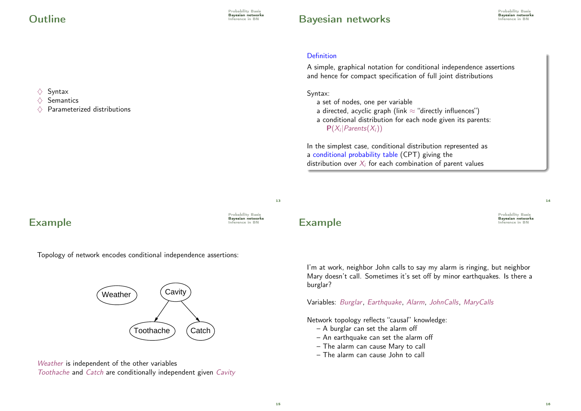$\diamondsuit$  Syntax<br> $\diamondsuit$  Semant  $\diamondsuit$  Semantics<br> $\diamondsuit$  Parameter

Parameterized distributions

#### Bayesian networks Bayesian networks

#### Definition

A simple, graphical notation for conditional independence assertions and hence for compact specification of full joint distributions

Syntax:

a set of nodes, one per variable a directed, acyclic graph (link  $\approx$  "directly influences") a conditional distribution for each node given its parents:  $P(X_i | Parents(X_i))$ 

In the simplest case, conditional distribution represented as a conditional probability table (CPT) giving the distribution over  $X_i$  for each combination of parent values

13

Probability Basis

# Example **Example**

Topology of network encodes conditional independence assertions:



Weather is independent of the other variables Toothache and Catch are conditionally independent given Cavity

#### Example **Example**

Probability Basis

14

I'm at work, neighbor John calls to say my alarm is ringing, but neighbor Mary doesn't call. Sometimes it's set off by minor earthquakes. Is there a burglar?

Variables: Burglar, Earthquake, Alarm, JohnCalls, MaryCalls

Network topology reflects "causal" knowledge:

- A burglar can set the alarm off
- An earthquake can set the alarm off
- The alarm can cause Mary to call
- The alarm can cause John to call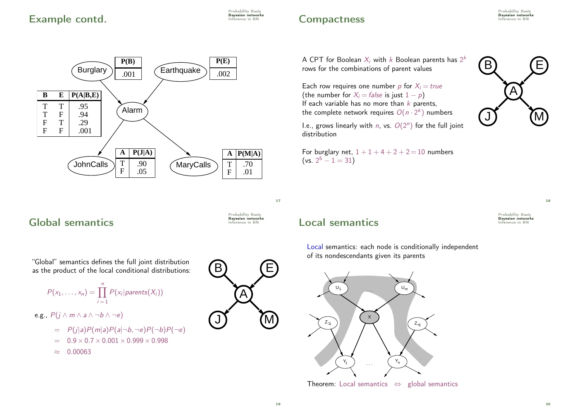

# **Compactness** Experimethy Bayesian networks Inference in BN

Probability Basis

A CPT for Boolean  $X_i$  with  $k$  Boolean parents has  $2^k$ rows for the combinations of parent values

Each row requires one number p for  $X_i = true$ (the number for  $X_i = false$  is just  $1 - p$ ) If each variable has no more than  $k$  parents, the complete network requires  $O(n \cdot 2^k)$  numbers

I.e., grows linearly with  $n$ , vs.  $O(2^n)$  for the full joint distribution

For burglary net,  $1+1+4+2+2=10$  numbers (vs.  $2^5 - 1 = 31$ )



Probability Basis

18

# $\overline{\text{Global semantics}}$

Probability Basis

17

Probability Basis

# "Global" semantics defines the full joint distribution

as the product of the local conditional distributions:

$$
P(x_1,\ldots,x_n)=\prod_{i=1}^n P(x_i|parents(X_i))
$$

e.g.,  $P(j \wedge m \wedge a \wedge \neg b \wedge \neg e)$ 

$$
= P(j|a)P(m|a)P(a|\neg b, \neg e)P(\neg b)P(\neg e)
$$

$$
= 0.9 \times 0.7 \times 0.001 \times 0.999 \times 0.998
$$

 $\approx$  0.00063



#### Local semantics **Inference in BN**

Local semantics: each node is conditionally independent of its nondescendants given its parents



Theorem: Local semantics  $\Leftrightarrow$  global semantics

19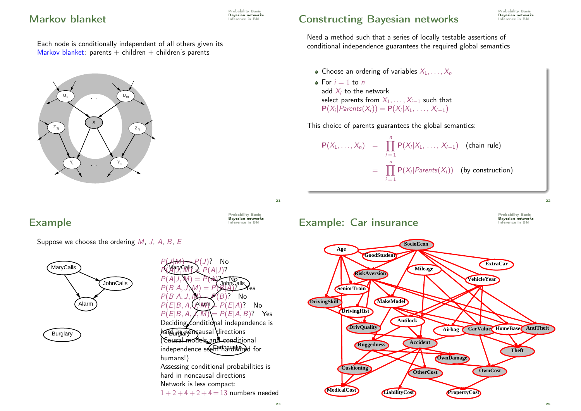#### **Markov blanket Inference in BN**

Each node is conditionally independent of all others given its Markov blanket: parents  $+$  children  $+$  children's parents



### Example **Example**

Suppose we choose the ordering  $M$ ,  $J$ ,  $A$ ,  $B$ ,  $E$ 



MaryCalls  $P(B|A, J, M) = P(B)$ ? No<br> $P(F|B|A)$  (Alam  $\geq P(F|A)$ ? hard in <sub>Bla</sub>ngm ausal directions independence seef<del>i</del>r hardwired for  $P(A|J, M) = P(A)$ ? No Notells  $P(J)$ ? No  $P(\overline{A|I}, \overline{W}) = P(A|J)$ ?<br> $P(A|I, W) = P(A)$  $P(B|A, J, M) = P(B|A)$ <sup>2</sup>  $\rightarrow$  Yes  $P(E|B, A, Q^{\text{Alaym}}) = P(E|A)?$  No  $P(E|B, A, J, M) = P(E|A, B)$ ? Yes Deciding conditional independence is (Causal models and conditional humans!) Assessing conditional probabilities is hard in noncausal directions Network is less compact:  $1 + 2 + 4 + 2 + 4 = 13$  numbers needed

Probability Basis

# Constructing Bayesian networks **Experiment SAYES**

Need a method such that a series of locally testable assertions of conditional independence guarantees the required global semantics

- Choose an ordering of variables  $X_1, \ldots, X_n$
- For  $i = 1$  to n add  $X_i$  to the network select parents from  $X_1, \ldots, X_{i-1}$  such that  $P(X_i | Parents(X_i)) = P(X_i | X_1, \ldots, X_{i-1})$

This choice of parents guarantees the global semantics:

$$
\mathsf{P}(X_1,\ldots,X_n) = \prod_{i=1}^n \mathsf{P}(X_i|X_1,\ldots,X_{i-1}) \quad \text{(chain rule)}
$$
\n
$$
= \prod_{i=1}^n \mathsf{P}(X_i|\text{Parents}(X_i)) \quad \text{(by construction)}
$$

 $22$ 

Probability Basis



Probability Basis

21

Probability Basis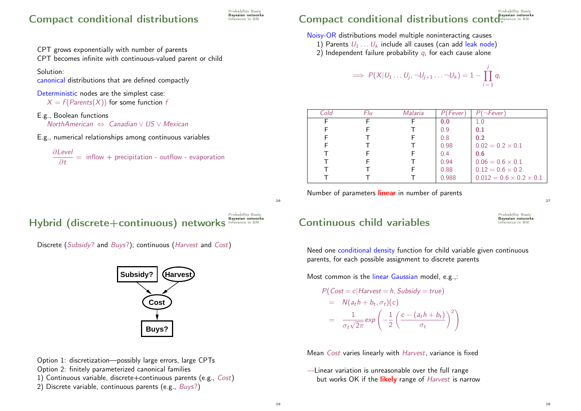#### Compact conditional distributions **Experience in BN**

Probability Basis

CPT grows exponentially with number of parents

CPT becomes infinite with continuous-valued parent or child

Solution:

canonical distributions that are defined compactly

Deterministic nodes are the simplest case:

 $X = f(Parents(X))$  for some function f

- E.g., Boolean functions NorthAmerican ⇔ Canadian ∨ US ∨ Mexican
- E.g., numerical relationships among continuous variables

$$
\frac{\partial Level}{\partial t} = \text{ inflow} + \text{precipitation - outflow - evaporation}
$$

#### Probability Basis Compact conditional distributions contd.

Noisy-OR distributions model multiple noninteracting causes

- 1) Parents  $U_1 \ldots U_k$  include all causes (can add leak node)
- 2) Independent failure probability  $\boldsymbol{q}_i$  for each cause alone

$$
\implies P(X|U_1 \ldots U_j, \neg U_{j+1} \ldots \neg U_k) = 1 - \prod_{i=1}^j q_i
$$

| Cold | Flu | Malaria | P(Fever) | $\neg$ Fever                        |
|------|-----|---------|----------|-------------------------------------|
| Е    |     |         | 0.0      | 1.0                                 |
|      |     |         | 0.9      | 0.1                                 |
|      |     |         | 0.8      | 0.2                                 |
|      |     |         | 0.98     | $0.02 = 0.2 \times 0.1$             |
|      |     |         | 0.4      | 0.6                                 |
|      |     |         | 0.94     | $0.06 = 0.6 \times 0.1$             |
|      |     |         | 0.88     | $0.12 = 0.6 \times 0.2$             |
|      |     |         | 0.988    | $0.012 = 0.6 \times 0.2 \times 0.1$ |

Number of parameters *linear* in number of parents

 $27$ 

29

#### Probability Basis Hybrid (discrete+continuous) networks Inference in B





Option 1: discretization—possibly large errors, large CPTs Option 2: finitely parameterized canonical families 1) Continuous variable, discrete+continuous parents (e.g., Cost) 2) Discrete variable, continuous parents (e.g., Buys?)

### $\mathsf{Continuous}$  child variables  $\mathsf{B}_{\mathsf{M}}$

Probability Basis

Need one conditional density function for child variable given continuous parents, for each possible assignment to discrete parents

Most common is the linear Gaussian model, e.g.,:

$$
P(Cost = c | \text{Harvest} = h, \text{Subsidy} = \text{true})
$$
  
=  $N(a_t h + b_t, \sigma_t)(c)$   
=  $\frac{1}{\sigma_t \sqrt{2\pi}} \exp\left(-\frac{1}{2}\left(\frac{c - (a_t h + b_t)}{\sigma_t}\right)^2\right)$ 

Mean Cost varies linearly with Harvest, variance is fixed

 $\rightsquigarrow$  Linear variation is unreasonable over the full range but works OK if the likely range of Harvest is narrow

26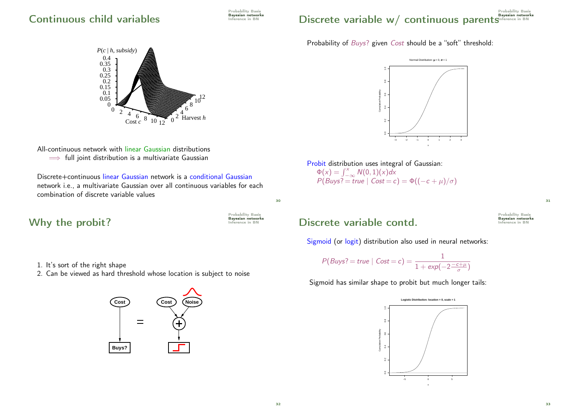#### $\mathsf{Continuous}$  child variables

Probability Basis

#### Probability Basis Discrete variable w/ continuous parentsInference in BN

Probability of *Buys*? given *Cost* should be a "soft" threshold:



All-continuous network with linear Gaussian distributions  $\implies$  full joint distribution is a multivariate Gaussian

Discrete+continuous linear Gaussian network is a conditional Gaussian network i.e., a multivariate Gaussian over all continuous variables for each combination of discrete variable values

# Why the probit? **Inference in BN**

Probability Basis

30

- 1. It's sort of the right shape
- 2. Can be viewed as hard threshold whose location is subject to noise





Probit distribution uses integral of Gaussian:  $\Phi(x) = \int_{-\infty}^{x} N(0, 1)(x) dx$  $P(Buys? = true \mid Cost = c) = \Phi((-c + \mu)/\sigma)$ 

#### Discrete variable contd. BUSIC Inference in BN

Sigmoid (or logit) distribution also used in neural networks:

$$
P(Buys? = true \mid Cost = c) = \frac{1}{1 + \exp(-2\frac{-c + \mu}{\sigma})}
$$

Sigmoid has similar shape to probit but much longer tails:



Probability Basis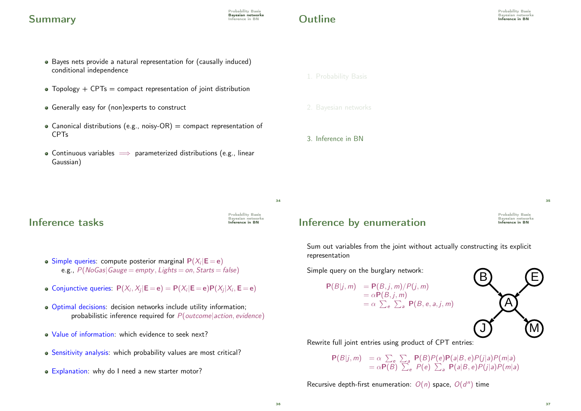#### Summary Bayesian networks Summary

# $\Omega$ utline Inference in BN

- Bayes nets provide a natural representation for (causally induced) conditional independence
- $\bullet$  Topology + CPTs = compact representation of joint distribution
- Generally easy for (non)experts to construct
- Canonical distributions (e.g., noisy-OR) = compact representation of CPTs
- Continuous variables  $\implies$  parameterized distributions (e.g., linear Gaussian)
- 1. Probability Basis
- 
- 2. Bayesian networks
- 3. Inference in BN

 $\overline{34}$ 

Probability Basis Bayesian networks

### Inference tasks

- Simple queries: compute posterior marginal  $P(X_i | E = e)$ e.g.,  $P(NoGas|Gauge = empty, Lights = on, Starts = false)$
- Conjunctive queries:  $P(X_i, X_j | E = e) = P(X_i | E = e) P(X_j | X_i, E = e)$
- Optimal decisions: decision networks include utility information; probabilistic inference required for  $P(\text{outcome}|\text{action}, \text{evidence})$
- Value of information: which evidence to seek next?
- Sensitivity analysis: which probability values are most critical?
- Explanation: why do I need a new starter motor?

# Inference by enumeration

Probability Basis Bayesian networks 35

Sum out variables from the joint without actually constructing its explicit representation

Simple query on the burglary network:

$$
P(B|j,m) = P(B,j,m)/P(j,m)
$$
  
=  $\alpha P(B,j,m)$   
=  $\alpha \sum_{e} \sum_{a} P(B,e,a,j,m)$ 



Rewrite full joint entries using product of CPT entries:

 $P(B|j,m) = \alpha \sum_{e} \sum_{a} P(B)P(e)P(a|B,e)P(j|a)P(m|a)$  $= \alpha \overline{P(B)} \sum_{e} P(e) \sum_{a} P(a|B,e)P(j|a)P(m|a)$ 

Recursive depth-first enumeration:  $O(n)$  space,  $O(d^n)$  time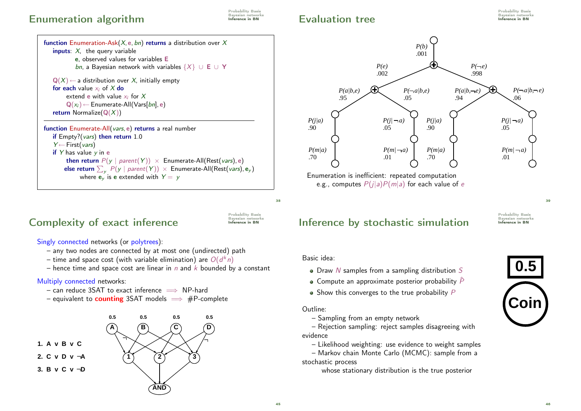#### Enumeration algorithm **Interaction Enumeration**

Probability Basis

### Evaluation tree Internet in BN Bayesian networks Evaluation tree





# Complexity of exact inference

Probability Basis<br>Bayesian networks<br>**Inference in BN** 

 $38$ 

Singly connected networks (or polytrees):

- any two nodes are connected by at most one (undirected) path
- time and space cost (with variable elimination) are  $O(d^kn)$
- hence time and space cost are linear in  $n$  and  $k$  bounded by a constant

#### Multiply connected networks:

- $-$  can reduce 3SAT to exact inference  $\implies$  NP-hard
- equivalent to **counting** 3SAT models  $\implies$  #P-complete





e.g., computes  $P(j|a)P(m|a)$  for each value of e

Inference by stochastic simulation

Probability Basis Bayesian networks 39

#### Basic idea:

- $\bullet$  Draw N samples from a sampling distribution S
- $\bullet$  Compute an approximate posterior probability  $\hat{P}$
- $\bullet$  Show this converges to the true probability  $P$

#### Outline:

– Sampling from an empty network

– Rejection sampling: reject samples disagreeing with evidence

– Likelihood weighting: use evidence to weight samples

– Markov chain Monte Carlo (MCMC): sample from a stochastic process

whose stationary distribution is the true posterior